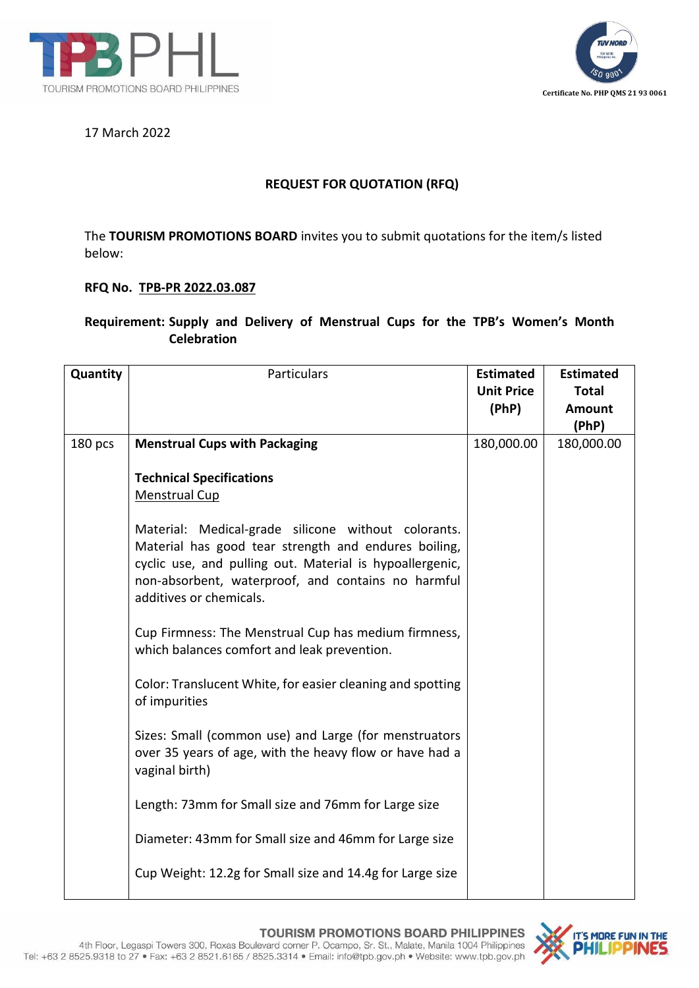



## 17 March 2022

## **REQUEST FOR QUOTATION (RFQ)**

The **TOURISM PROMOTIONS BOARD** invites you to submit quotations for the item/s listed below:

## **RFQ No. TPB-PR 2022.03.087**

## **Requirement: Supply and Delivery of Menstrual Cups for the TPB's Women's Month Celebration**

| Quantity | Particulars                                                                                                                                                                                                                                              | <b>Estimated</b><br><b>Unit Price</b><br>(PhP) | <b>Estimated</b><br><b>Total</b><br><b>Amount</b><br>(PhP) |
|----------|----------------------------------------------------------------------------------------------------------------------------------------------------------------------------------------------------------------------------------------------------------|------------------------------------------------|------------------------------------------------------------|
| 180 pcs  | <b>Menstrual Cups with Packaging</b>                                                                                                                                                                                                                     | 180,000.00                                     | 180,000.00                                                 |
|          | <b>Technical Specifications</b><br><b>Menstrual Cup</b>                                                                                                                                                                                                  |                                                |                                                            |
|          | Material: Medical-grade silicone without colorants.<br>Material has good tear strength and endures boiling,<br>cyclic use, and pulling out. Material is hypoallergenic,<br>non-absorbent, waterproof, and contains no harmful<br>additives or chemicals. |                                                |                                                            |
|          | Cup Firmness: The Menstrual Cup has medium firmness,<br>which balances comfort and leak prevention.                                                                                                                                                      |                                                |                                                            |
|          | Color: Translucent White, for easier cleaning and spotting<br>of impurities                                                                                                                                                                              |                                                |                                                            |
|          | Sizes: Small (common use) and Large (for menstruators<br>over 35 years of age, with the heavy flow or have had a<br>vaginal birth)                                                                                                                       |                                                |                                                            |
|          | Length: 73mm for Small size and 76mm for Large size                                                                                                                                                                                                      |                                                |                                                            |
|          | Diameter: 43mm for Small size and 46mm for Large size                                                                                                                                                                                                    |                                                |                                                            |
|          | Cup Weight: 12.2g for Small size and 14.4g for Large size                                                                                                                                                                                                |                                                |                                                            |

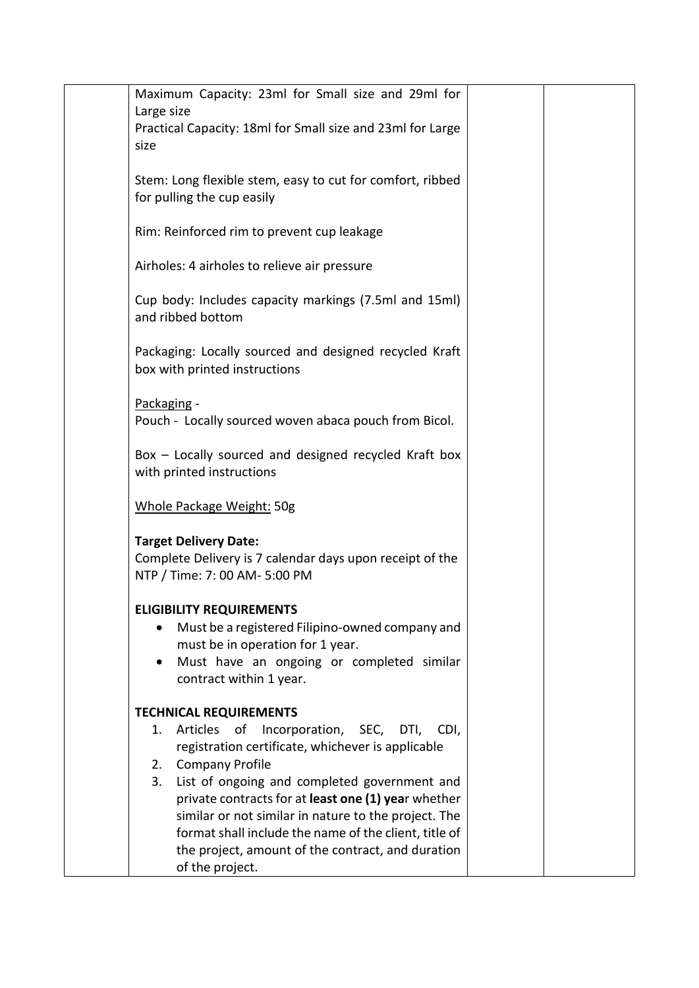| Maximum Capacity: 23ml for Small size and 29ml for                                                         |  |
|------------------------------------------------------------------------------------------------------------|--|
| Large size                                                                                                 |  |
| Practical Capacity: 18ml for Small size and 23ml for Large                                                 |  |
| size                                                                                                       |  |
| Stem: Long flexible stem, easy to cut for comfort, ribbed                                                  |  |
| for pulling the cup easily                                                                                 |  |
|                                                                                                            |  |
| Rim: Reinforced rim to prevent cup leakage                                                                 |  |
|                                                                                                            |  |
| Airholes: 4 airholes to relieve air pressure                                                               |  |
| Cup body: Includes capacity markings (7.5ml and 15ml)                                                      |  |
| and ribbed bottom                                                                                          |  |
|                                                                                                            |  |
| Packaging: Locally sourced and designed recycled Kraft                                                     |  |
| box with printed instructions                                                                              |  |
|                                                                                                            |  |
| Packaging -<br>Pouch - Locally sourced woven abaca pouch from Bicol.                                       |  |
|                                                                                                            |  |
| Box - Locally sourced and designed recycled Kraft box                                                      |  |
| with printed instructions                                                                                  |  |
|                                                                                                            |  |
| Whole Package Weight: 50g                                                                                  |  |
| <b>Target Delivery Date:</b>                                                                               |  |
| Complete Delivery is 7 calendar days upon receipt of the                                                   |  |
| NTP / Time: 7: 00 AM- 5:00 PM                                                                              |  |
|                                                                                                            |  |
| <b>ELIGIBILITY REQUIREMENTS</b>                                                                            |  |
| Must be a registered Filipino-owned company and<br>must be in operation for 1 year.                        |  |
| Must have an ongoing or completed similar                                                                  |  |
| contract within 1 year.                                                                                    |  |
|                                                                                                            |  |
| <b>TECHNICAL REQUIREMENTS</b>                                                                              |  |
| Articles of Incorporation, SEC,<br>DTI,<br>CDI,<br>1.<br>registration certificate, whichever is applicable |  |
| <b>Company Profile</b><br>2.                                                                               |  |
| 3.<br>List of ongoing and completed government and                                                         |  |
| private contracts for at least one (1) year whether                                                        |  |
| similar or not similar in nature to the project. The                                                       |  |
| format shall include the name of the client, title of                                                      |  |
| the project, amount of the contract, and duration                                                          |  |
| of the project.                                                                                            |  |